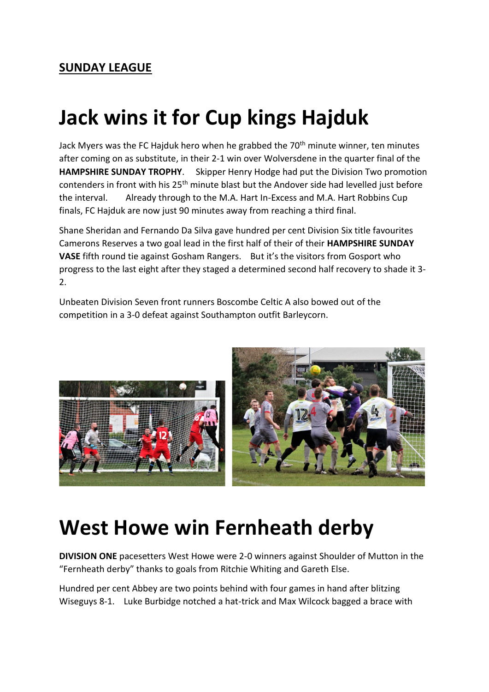### **Jack wins it for Cup kings Hajduk**

Jack Myers was the FC Hajduk hero when he grabbed the 70<sup>th</sup> minute winner, ten minutes after coming on as substitute, in their 2-1 win over Wolversdene in the quarter final of the **HAMPSHIRE SUNDAY TROPHY**. Skipper Henry Hodge had put the Division Two promotion contenders in front with his 25<sup>th</sup> minute blast but the Andover side had levelled just before the interval. Already through to the M.A. Hart In-Excess and M.A. Hart Robbins Cup finals, FC Hajduk are now just 90 minutes away from reaching a third final.

Shane Sheridan and Fernando Da Silva gave hundred per cent Division Six title favourites Camerons Reserves a two goal lead in the first half of their of their **HAMPSHIRE SUNDAY VASE** fifth round tie against Gosham Rangers. But it's the visitors from Gosport who progress to the last eight after they staged a determined second half recovery to shade it 3- 2.

Unbeaten Division Seven front runners Boscombe Celtic A also bowed out of the competition in a 3-0 defeat against Southampton outfit Barleycorn.



### **West Howe win Fernheath derby**

**DIVISION ONE** pacesetters West Howe were 2-0 winners against Shoulder of Mutton in the "Fernheath derby" thanks to goals from Ritchie Whiting and Gareth Else.

Hundred per cent Abbey are two points behind with four games in hand after blitzing Wiseguys 8-1. Luke Burbidge notched a hat-trick and Max Wilcock bagged a brace with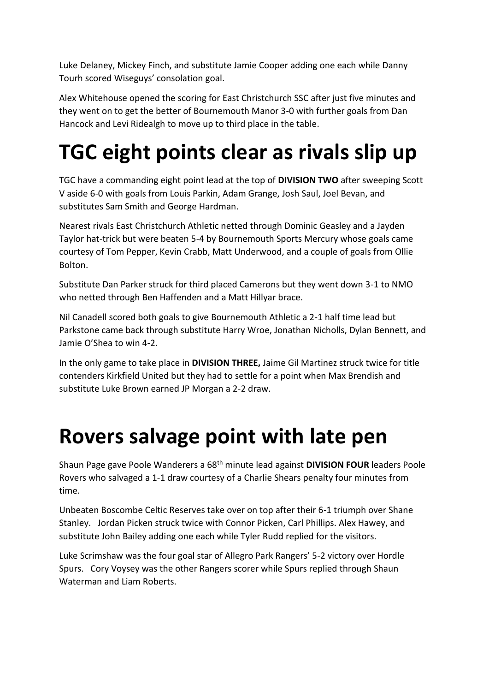Luke Delaney, Mickey Finch, and substitute Jamie Cooper adding one each while Danny Tourh scored Wiseguys' consolation goal.

Alex Whitehouse opened the scoring for East Christchurch SSC after just five minutes and they went on to get the better of Bournemouth Manor 3-0 with further goals from Dan Hancock and Levi Ridealgh to move up to third place in the table.

# **TGC eight points clear as rivals slip up**

TGC have a commanding eight point lead at the top of **DIVISION TWO** after sweeping Scott V aside 6-0 with goals from Louis Parkin, Adam Grange, Josh Saul, Joel Bevan, and substitutes Sam Smith and George Hardman.

Nearest rivals East Christchurch Athletic netted through Dominic Geasley and a Jayden Taylor hat-trick but were beaten 5-4 by Bournemouth Sports Mercury whose goals came courtesy of Tom Pepper, Kevin Crabb, Matt Underwood, and a couple of goals from Ollie Bolton.

Substitute Dan Parker struck for third placed Camerons but they went down 3-1 to NMO who netted through Ben Haffenden and a Matt Hillyar brace.

Nil Canadell scored both goals to give Bournemouth Athletic a 2-1 half time lead but Parkstone came back through substitute Harry Wroe, Jonathan Nicholls, Dylan Bennett, and Jamie O'Shea to win 4-2.

In the only game to take place in **DIVISION THREE,** Jaime Gil Martinez struck twice for title contenders Kirkfield United but they had to settle for a point when Max Brendish and substitute Luke Brown earned JP Morgan a 2-2 draw.

### **Rovers salvage point with late pen**

Shaun Page gave Poole Wanderers a 68th minute lead against **DIVISION FOUR** leaders Poole Rovers who salvaged a 1-1 draw courtesy of a Charlie Shears penalty four minutes from time.

Unbeaten Boscombe Celtic Reserves take over on top after their 6-1 triumph over Shane Stanley. Jordan Picken struck twice with Connor Picken, Carl Phillips. Alex Hawey, and substitute John Bailey adding one each while Tyler Rudd replied for the visitors.

Luke Scrimshaw was the four goal star of Allegro Park Rangers' 5-2 victory over Hordle Spurs. Cory Voysey was the other Rangers scorer while Spurs replied through Shaun Waterman and Liam Roberts.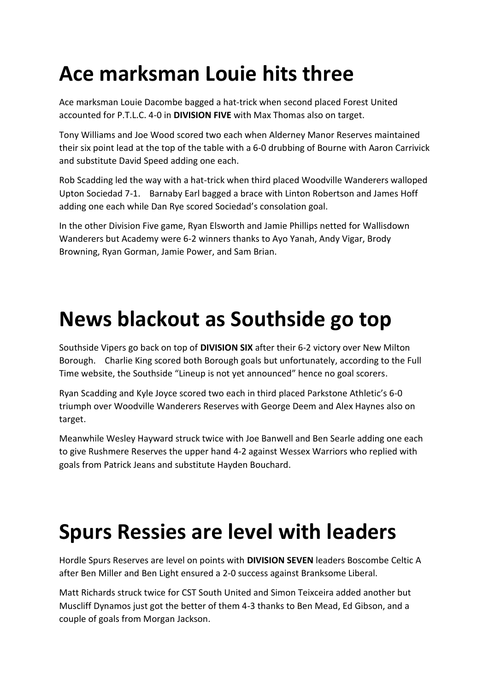# **Ace marksman Louie hits three**

Ace marksman Louie Dacombe bagged a hat-trick when second placed Forest United accounted for P.T.L.C. 4-0 in **DIVISION FIVE** with Max Thomas also on target.

Tony Williams and Joe Wood scored two each when Alderney Manor Reserves maintained their six point lead at the top of the table with a 6-0 drubbing of Bourne with Aaron Carrivick and substitute David Speed adding one each.

Rob Scadding led the way with a hat-trick when third placed Woodville Wanderers walloped Upton Sociedad 7-1. Barnaby Earl bagged a brace with Linton Robertson and James Hoff adding one each while Dan Rye scored Sociedad's consolation goal.

In the other Division Five game, Ryan Elsworth and Jamie Phillips netted for Wallisdown Wanderers but Academy were 6-2 winners thanks to Ayo Yanah, Andy Vigar, Brody Browning, Ryan Gorman, Jamie Power, and Sam Brian.

### **News blackout as Southside go top**

Southside Vipers go back on top of **DIVISION SIX** after their 6-2 victory over New Milton Borough. Charlie King scored both Borough goals but unfortunately, according to the Full Time website, the Southside "Lineup is not yet announced" hence no goal scorers.

Ryan Scadding and Kyle Joyce scored two each in third placed Parkstone Athletic's 6-0 triumph over Woodville Wanderers Reserves with George Deem and Alex Haynes also on target.

Meanwhile Wesley Hayward struck twice with Joe Banwell and Ben Searle adding one each to give Rushmere Reserves the upper hand 4-2 against Wessex Warriors who replied with goals from Patrick Jeans and substitute Hayden Bouchard.

### **Spurs Ressies are level with leaders**

Hordle Spurs Reserves are level on points with **DIVISION SEVEN** leaders Boscombe Celtic A after Ben Miller and Ben Light ensured a 2-0 success against Branksome Liberal.

Matt Richards struck twice for CST South United and Simon Teixceira added another but Muscliff Dynamos just got the better of them 4-3 thanks to Ben Mead, Ed Gibson, and a couple of goals from Morgan Jackson.